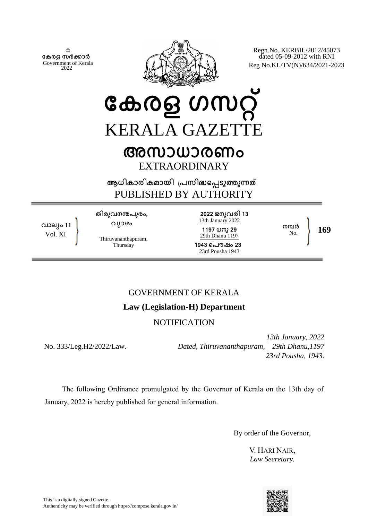© **േകരള സർകാർ** Government of Kerala 2022



Regn.No. KERBIL/2012/45073 dated 05-09-2012 with RNI Reg No.KL/TV(N)/634/2021-2023

# **േകരള ഗസറ്** KERALA GAZETTE **അസാധാരണം**

EXTRAORDINARY

**ആധികാരികമായി ്പസിദെപടുതുനത** PUBLISHED BY AUTHORITY

**വാല്ം 11** Vol. XI

**തിരുവനനപുരം, വ്ാഴം**

Thiruvananthapuram, Thursday

**2022 ജനുവരി 13** 13th January 2022 **1197 ധനു 29** 29th Dhanu 1197 **1943 െപൗഷം 23** 23rd Pousha 1943

No. **169**

**നമ്പർ**<br>No

# GOVERNMENT OF KERALA

## **Law (Legislation-H) Department**

## **NOTIFICATION**

No. 333/Leg.H2/2022/Law.

*13th January, 2022 Dated, Thiruvananthapuram, 29th Dhanu,1197 23rd Pousha, 1943.* 

The following Ordinance promulgated by the Governor of Kerala on the 13th day of January, 2022 is hereby published for general information.

By order of the Governor,

V. HARI NAIR, *Law Secretary.*